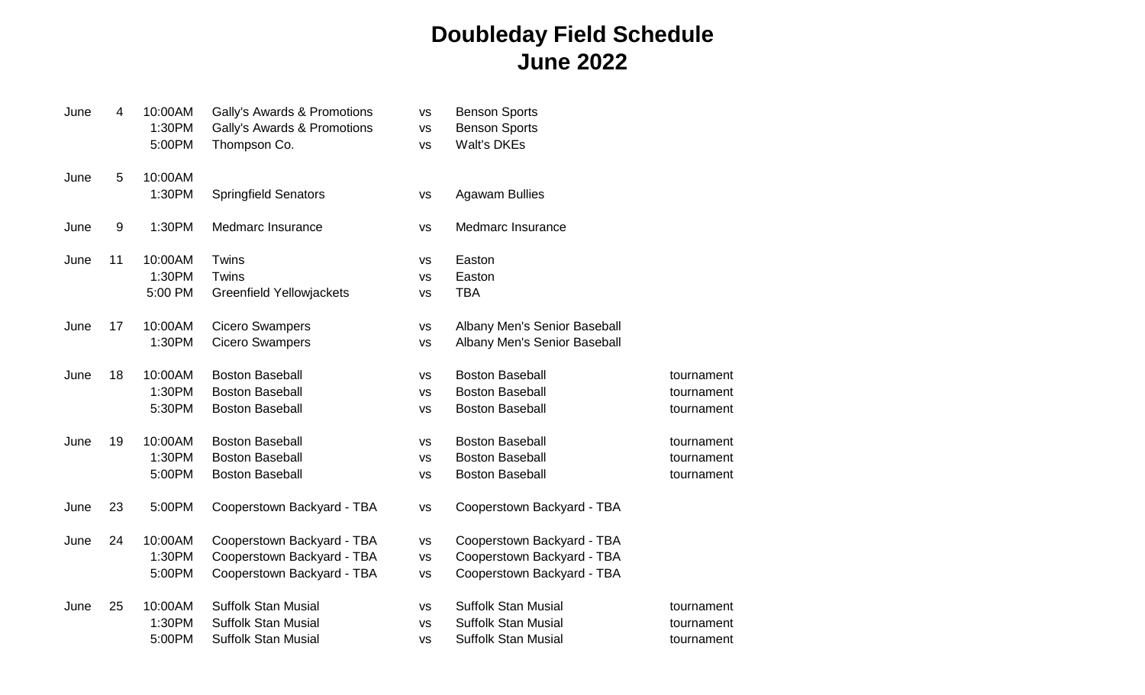## **Doubleday Field Schedule June 2022**

| June | 4  | 10:00AM<br>1:30PM | Gally's Awards & Promotions<br>Gally's Awards & Promotions | <b>VS</b><br><b>VS</b> | <b>Benson Sports</b><br><b>Benson Sports</b> |            |
|------|----|-------------------|------------------------------------------------------------|------------------------|----------------------------------------------|------------|
|      |    | 5:00PM            | Thompson Co.                                               | <b>VS</b>              | <b>Walt's DKEs</b>                           |            |
| June | 5  | 10:00AM           |                                                            |                        |                                              |            |
|      |    | 1:30PM            | <b>Springfield Senators</b>                                | vs                     | <b>Agawam Bullies</b>                        |            |
| June | 9  | 1:30PM            | Medmarc Insurance                                          | <b>VS</b>              | Medmarc Insurance                            |            |
| June | 11 | 10:00AM           | Twins                                                      | <b>VS</b>              | Easton                                       |            |
|      |    | 1:30PM            | Twins                                                      | <b>VS</b>              | Easton                                       |            |
|      |    | 5:00 PM           | <b>Greenfield Yellowjackets</b>                            | <b>VS</b>              | <b>TBA</b>                                   |            |
| June | 17 | 10:00AM           | <b>Cicero Swampers</b>                                     | <b>VS</b>              | Albany Men's Senior Baseball                 |            |
|      |    | 1:30PM            | <b>Cicero Swampers</b>                                     | <b>VS</b>              | Albany Men's Senior Baseball                 |            |
| June | 18 | 10:00AM           | <b>Boston Baseball</b>                                     | <b>VS</b>              | <b>Boston Baseball</b>                       | tournament |
|      |    | 1:30PM            | <b>Boston Baseball</b>                                     | <b>VS</b>              | <b>Boston Baseball</b>                       | tournament |
|      |    | 5:30PM            | <b>Boston Baseball</b>                                     | <b>VS</b>              | <b>Boston Baseball</b>                       | tournament |
| June | 19 | 10:00AM           | <b>Boston Baseball</b>                                     | <b>VS</b>              | <b>Boston Baseball</b>                       | tournament |
|      |    | 1:30PM            | <b>Boston Baseball</b>                                     | <b>VS</b>              | <b>Boston Baseball</b>                       | tournament |
|      |    | 5:00PM            | <b>Boston Baseball</b>                                     | <b>VS</b>              | <b>Boston Baseball</b>                       | tournament |
| June | 23 | 5:00PM            | Cooperstown Backyard - TBA                                 | <b>VS</b>              | Cooperstown Backyard - TBA                   |            |
| June | 24 | 10:00AM           | Cooperstown Backyard - TBA                                 | VS                     | Cooperstown Backyard - TBA                   |            |
|      |    | 1:30PM            | Cooperstown Backyard - TBA                                 | <b>VS</b>              | Cooperstown Backyard - TBA                   |            |
|      |    | 5:00PM            | Cooperstown Backyard - TBA                                 | VS                     | Cooperstown Backyard - TBA                   |            |
| June | 25 | 10:00AM           | <b>Suffolk Stan Musial</b>                                 | VS                     | <b>Suffolk Stan Musial</b>                   | tournament |
|      |    | 1:30PM            | <b>Suffolk Stan Musial</b>                                 | <b>VS</b>              | <b>Suffolk Stan Musial</b>                   | tournament |
|      |    | 5:00PM            | <b>Suffolk Stan Musial</b>                                 | <b>VS</b>              | <b>Suffolk Stan Musial</b>                   | tournament |